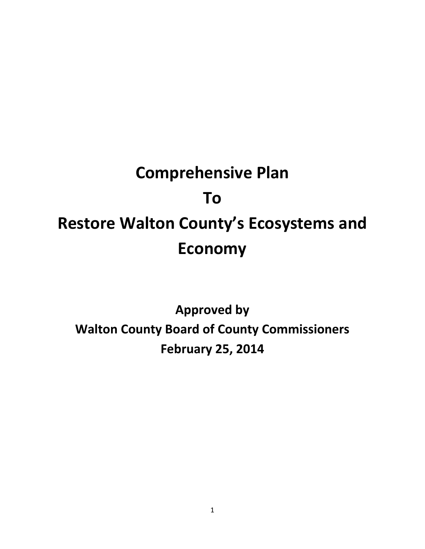# **Comprehensive Plan To Restore Walton County's Ecosystems and Economy**

**Approved by Walton County Board of County Commissioners February 25, 2014**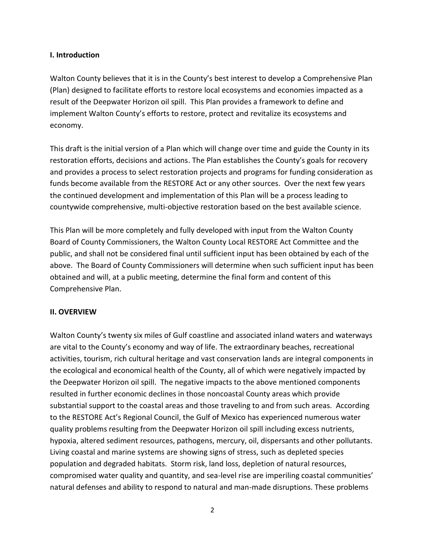#### **I. Introduction**

Walton County believes that it is in the County's best interest to develop a Comprehensive Plan (Plan) designed to facilitate efforts to restore local ecosystems and economies impacted as a result of the Deepwater Horizon oil spill. This Plan provides a framework to define and implement Walton County's efforts to restore, protect and revitalize its ecosystems and economy.

This draft is the initial version of a Plan which will change over time and guide the County in its restoration efforts, decisions and actions. The Plan establishes the County's goals for recovery and provides a process to select restoration projects and programs for funding consideration as funds become available from the RESTORE Act or any other sources. Over the next few years the continued development and implementation of this Plan will be a process leading to countywide comprehensive, multi-objective restoration based on the best available science.

This Plan will be more completely and fully developed with input from the Walton County Board of County Commissioners, the Walton County Local RESTORE Act Committee and the public, and shall not be considered final until sufficient input has been obtained by each of the above. The Board of County Commissioners will determine when such sufficient input has been obtained and will, at a public meeting, determine the final form and content of this Comprehensive Plan.

#### **II. OVERVIEW**

Walton County's twenty six miles of Gulf coastline and associated inland waters and waterways are vital to the County's economy and way of life. The extraordinary beaches, recreational activities, tourism, rich cultural heritage and vast conservation lands are integral components in the ecological and economical health of the County, all of which were negatively impacted by the Deepwater Horizon oil spill. The negative impacts to the above mentioned components resulted in further economic declines in those noncoastal County areas which provide substantial support to the coastal areas and those traveling to and from such areas. According to the RESTORE Act's Regional Council, the Gulf of Mexico has experienced numerous water quality problems resulting from the Deepwater Horizon oil spill including excess nutrients, hypoxia, altered sediment resources, pathogens, mercury, oil, dispersants and other pollutants. Living coastal and marine systems are showing signs of stress, such as depleted species population and degraded habitats. Storm risk, land loss, depletion of natural resources, compromised water quality and quantity, and sea-level rise are imperiling coastal communities' natural defenses and ability to respond to natural and man-made disruptions. These problems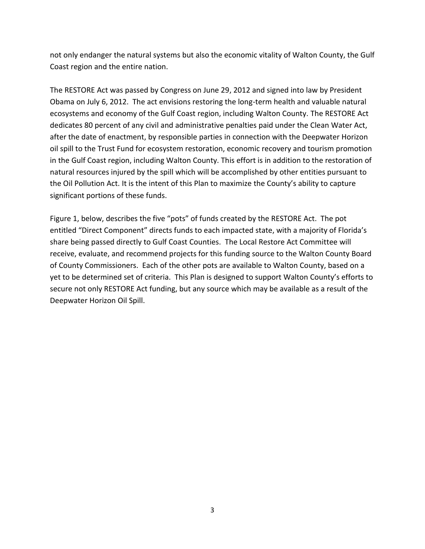not only endanger the natural systems but also the economic vitality of Walton County, the Gulf Coast region and the entire nation.

The RESTORE Act was passed by Congress on June 29, 2012 and signed into law by President Obama on July 6, 2012. The act envisions restoring the long-term health and valuable natural ecosystems and economy of the Gulf Coast region, including Walton County. The RESTORE Act dedicates 80 percent of any civil and administrative penalties paid under the Clean Water Act, after the date of enactment, by responsible parties in connection with the Deepwater Horizon oil spill to the Trust Fund for ecosystem restoration, economic recovery and tourism promotion in the Gulf Coast region, including Walton County. This effort is in addition to the restoration of natural resources injured by the spill which will be accomplished by other entities pursuant to the Oil Pollution Act. It is the intent of this Plan to maximize the County's ability to capture significant portions of these funds.

Figure 1, below, describes the five "pots" of funds created by the RESTORE Act. The pot entitled "Direct Component" directs funds to each impacted state, with a majority of Florida's share being passed directly to Gulf Coast Counties. The Local Restore Act Committee will receive, evaluate, and recommend projects for this funding source to the Walton County Board of County Commissioners. Each of the other pots are available to Walton County, based on a yet to be determined set of criteria. This Plan is designed to support Walton County's efforts to secure not only RESTORE Act funding, but any source which may be available as a result of the Deepwater Horizon Oil Spill.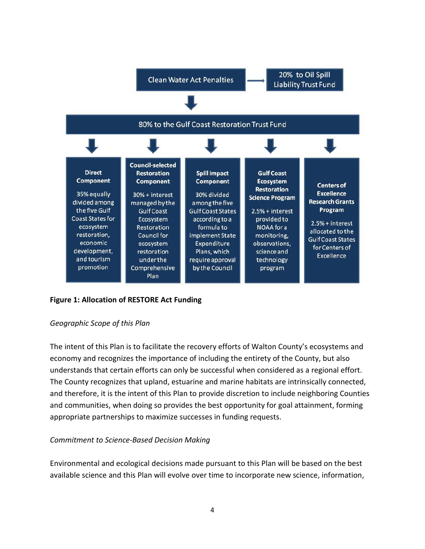

## **Figure 1: Allocation of RESTORE Act Funding**

#### *Geographic Scope of this Plan*

The intent of this Plan is to facilitate the recovery efforts of Walton County's ecosystems and economy and recognizes the importance of including the entirety of the County, but also understands that certain efforts can only be successful when considered as a regional effort. The County recognizes that upland, estuarine and marine habitats are intrinsically connected, and therefore, it is the intent of this Plan to provide discretion to include neighboring Counties and communities, when doing so provides the best opportunity for goal attainment, forming appropriate partnerships to maximize successes in funding requests.

#### *Commitment to Science-Based Decision Making*

Environmental and ecological decisions made pursuant to this Plan will be based on the best available science and this Plan will evolve over time to incorporate new science, information,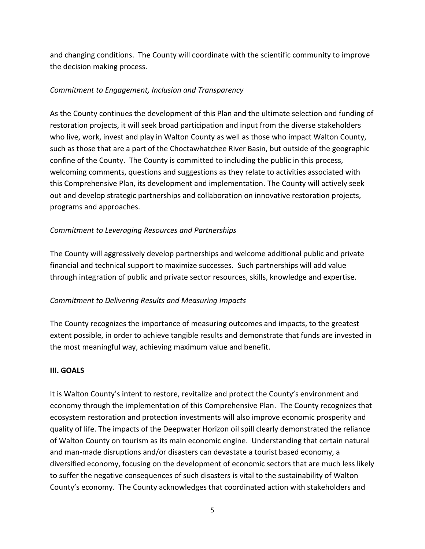and changing conditions. The County will coordinate with the scientific community to improve the decision making process.

#### *Commitment to Engagement, Inclusion and Transparency*

As the County continues the development of this Plan and the ultimate selection and funding of restoration projects, it will seek broad participation and input from the diverse stakeholders who live, work, invest and play in Walton County as well as those who impact Walton County, such as those that are a part of the Choctawhatchee River Basin, but outside of the geographic confine of the County. The County is committed to including the public in this process, welcoming comments, questions and suggestions as they relate to activities associated with this Comprehensive Plan, its development and implementation. The County will actively seek out and develop strategic partnerships and collaboration on innovative restoration projects, programs and approaches.

## *Commitment to Leveraging Resources and Partnerships*

The County will aggressively develop partnerships and welcome additional public and private financial and technical support to maximize successes. Such partnerships will add value through integration of public and private sector resources, skills, knowledge and expertise.

## *Commitment to Delivering Results and Measuring Impacts*

The County recognizes the importance of measuring outcomes and impacts, to the greatest extent possible, in order to achieve tangible results and demonstrate that funds are invested in the most meaningful way, achieving maximum value and benefit.

## **III. GOALS**

It is Walton County's intent to restore, revitalize and protect the County's environment and economy through the implementation of this Comprehensive Plan. The County recognizes that ecosystem restoration and protection investments will also improve economic prosperity and quality of life. The impacts of the Deepwater Horizon oil spill clearly demonstrated the reliance of Walton County on tourism as its main economic engine. Understanding that certain natural and man-made disruptions and/or disasters can devastate a tourist based economy, a diversified economy, focusing on the development of economic sectors that are much less likely to suffer the negative consequences of such disasters is vital to the sustainability of Walton County's economy. The County acknowledges that coordinated action with stakeholders and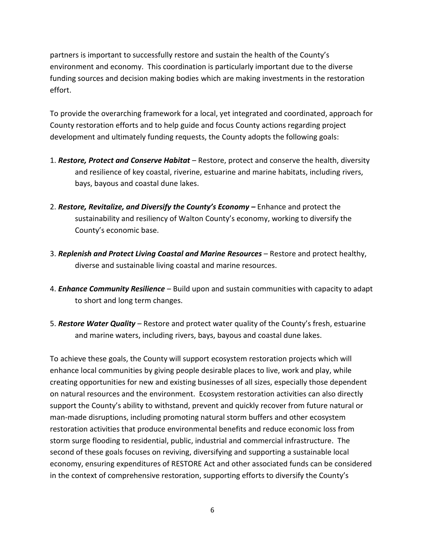partners is important to successfully restore and sustain the health of the County's environment and economy. This coordination is particularly important due to the diverse funding sources and decision making bodies which are making investments in the restoration effort.

To provide the overarching framework for a local, yet integrated and coordinated, approach for County restoration efforts and to help guide and focus County actions regarding project development and ultimately funding requests, the County adopts the following goals:

- 1. *Restore, Protect and Conserve Habitat*  Restore, protect and conserve the health, diversity and resilience of key coastal, riverine, estuarine and marine habitats, including rivers, bays, bayous and coastal dune lakes.
- 2. *Restore, Revitalize, and Diversify the County's Economy –* Enhance and protect the sustainability and resiliency of Walton County's economy, working to diversify the County's economic base.
- 3. *Replenish and Protect Living Coastal and Marine Resources*  Restore and protect healthy, diverse and sustainable living coastal and marine resources.
- 4. *Enhance Community Resilience*  Build upon and sustain communities with capacity to adapt to short and long term changes.
- 5. *Restore Water Quality* Restore and protect water quality of the County's fresh, estuarine and marine waters, including rivers, bays, bayous and coastal dune lakes.

To achieve these goals, the County will support ecosystem restoration projects which will enhance local communities by giving people desirable places to live, work and play, while creating opportunities for new and existing businesses of all sizes, especially those dependent on natural resources and the environment. Ecosystem restoration activities can also directly support the County's ability to withstand, prevent and quickly recover from future natural or man-made disruptions, including promoting natural storm buffers and other ecosystem restoration activities that produce environmental benefits and reduce economic loss from storm surge flooding to residential, public, industrial and commercial infrastructure. The second of these goals focuses on reviving, diversifying and supporting a sustainable local economy, ensuring expenditures of RESTORE Act and other associated funds can be considered in the context of comprehensive restoration, supporting efforts to diversify the County's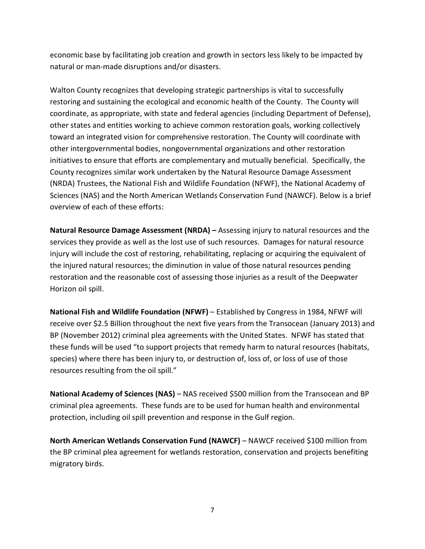economic base by facilitating job creation and growth in sectors less likely to be impacted by natural or man-made disruptions and/or disasters.

Walton County recognizes that developing strategic partnerships is vital to successfully restoring and sustaining the ecological and economic health of the County. The County will coordinate, as appropriate, with state and federal agencies (including Department of Defense), other states and entities working to achieve common restoration goals, working collectively toward an integrated vision for comprehensive restoration. The County will coordinate with other intergovernmental bodies, nongovernmental organizations and other restoration initiatives to ensure that efforts are complementary and mutually beneficial. Specifically, the County recognizes similar work undertaken by the Natural Resource Damage Assessment (NRDA) Trustees, the National Fish and Wildlife Foundation (NFWF), the National Academy of Sciences (NAS) and the North American Wetlands Conservation Fund (NAWCF). Below is a brief overview of each of these efforts:

**Natural Resource Damage Assessment (NRDA) –** Assessing injury to natural resources and the services they provide as well as the lost use of such resources. Damages for natural resource injury will include the cost of restoring, rehabilitating, replacing or acquiring the equivalent of the injured natural resources; the diminution in value of those natural resources pending restoration and the reasonable cost of assessing those injuries as a result of the Deepwater Horizon oil spill.

**National Fish and Wildlife Foundation (NFWF)** – Established by Congress in 1984, NFWF will receive over \$2.5 Billion throughout the next five years from the Transocean (January 2013) and BP (November 2012) criminal plea agreements with the United States. NFWF has stated that these funds will be used "to support projects that remedy harm to natural resources (habitats, species) where there has been injury to, or destruction of, loss of, or loss of use of those resources resulting from the oil spill."

**National Academy of Sciences (NAS)** – NAS received \$500 million from the Transocean and BP criminal plea agreements. These funds are to be used for human health and environmental protection, including oil spill prevention and response in the Gulf region.

**North American Wetlands Conservation Fund (NAWCF)** – NAWCF received \$100 million from the BP criminal plea agreement for wetlands restoration, conservation and projects benefiting migratory birds.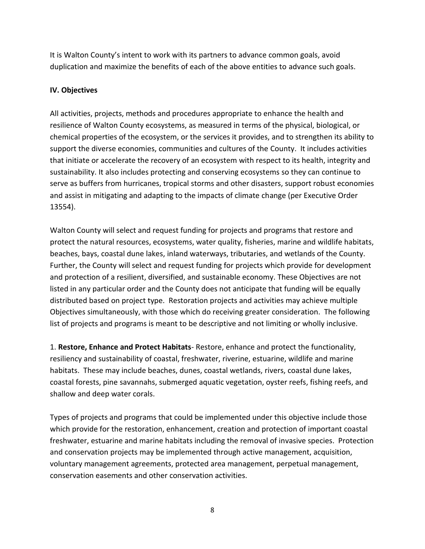It is Walton County's intent to work with its partners to advance common goals, avoid duplication and maximize the benefits of each of the above entities to advance such goals.

## **IV. Objectives**

All activities, projects, methods and procedures appropriate to enhance the health and resilience of Walton County ecosystems, as measured in terms of the physical, biological, or chemical properties of the ecosystem, or the services it provides, and to strengthen its ability to support the diverse economies, communities and cultures of the County. It includes activities that initiate or accelerate the recovery of an ecosystem with respect to its health, integrity and sustainability. It also includes protecting and conserving ecosystems so they can continue to serve as buffers from hurricanes, tropical storms and other disasters, support robust economies and assist in mitigating and adapting to the impacts of climate change (per Executive Order 13554).

Walton County will select and request funding for projects and programs that restore and protect the natural resources, ecosystems, water quality, fisheries, marine and wildlife habitats, beaches, bays, coastal dune lakes, inland waterways, tributaries, and wetlands of the County. Further, the County will select and request funding for projects which provide for development and protection of a resilient, diversified, and sustainable economy. These Objectives are not listed in any particular order and the County does not anticipate that funding will be equally distributed based on project type. Restoration projects and activities may achieve multiple Objectives simultaneously, with those which do receiving greater consideration. The following list of projects and programs is meant to be descriptive and not limiting or wholly inclusive.

1. **Restore, Enhance and Protect Habitats**- Restore, enhance and protect the functionality, resiliency and sustainability of coastal, freshwater, riverine, estuarine, wildlife and marine habitats. These may include beaches, dunes, coastal wetlands, rivers, coastal dune lakes, coastal forests, pine savannahs, submerged aquatic vegetation, oyster reefs, fishing reefs, and shallow and deep water corals.

Types of projects and programs that could be implemented under this objective include those which provide for the restoration, enhancement, creation and protection of important coastal freshwater, estuarine and marine habitats including the removal of invasive species. Protection and conservation projects may be implemented through active management, acquisition, voluntary management agreements, protected area management, perpetual management, conservation easements and other conservation activities.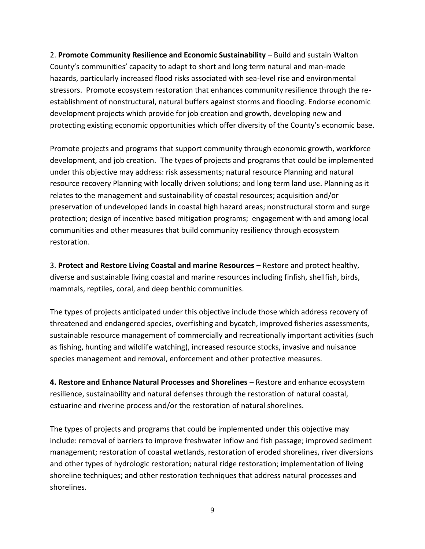2. **Promote Community Resilience and Economic Sustainability** – Build and sustain Walton County's communities' capacity to adapt to short and long term natural and man-made hazards, particularly increased flood risks associated with sea-level rise and environmental stressors. Promote ecosystem restoration that enhances community resilience through the reestablishment of nonstructural, natural buffers against storms and flooding. Endorse economic development projects which provide for job creation and growth, developing new and protecting existing economic opportunities which offer diversity of the County's economic base.

Promote projects and programs that support community through economic growth, workforce development, and job creation. The types of projects and programs that could be implemented under this objective may address: risk assessments; natural resource Planning and natural resource recovery Planning with locally driven solutions; and long term land use. Planning as it relates to the management and sustainability of coastal resources; acquisition and/or preservation of undeveloped lands in coastal high hazard areas; nonstructural storm and surge protection; design of incentive based mitigation programs; engagement with and among local communities and other measures that build community resiliency through ecosystem restoration.

3. **Protect and Restore Living Coastal and marine Resources** – Restore and protect healthy, diverse and sustainable living coastal and marine resources including finfish, shellfish, birds, mammals, reptiles, coral, and deep benthic communities.

The types of projects anticipated under this objective include those which address recovery of threatened and endangered species, overfishing and bycatch, improved fisheries assessments, sustainable resource management of commercially and recreationally important activities (such as fishing, hunting and wildlife watching), increased resource stocks, invasive and nuisance species management and removal, enforcement and other protective measures.

**4. Restore and Enhance Natural Processes and Shorelines** – Restore and enhance ecosystem resilience, sustainability and natural defenses through the restoration of natural coastal, estuarine and riverine process and/or the restoration of natural shorelines.

The types of projects and programs that could be implemented under this objective may include: removal of barriers to improve freshwater inflow and fish passage; improved sediment management; restoration of coastal wetlands, restoration of eroded shorelines, river diversions and other types of hydrologic restoration; natural ridge restoration; implementation of living shoreline techniques; and other restoration techniques that address natural processes and shorelines.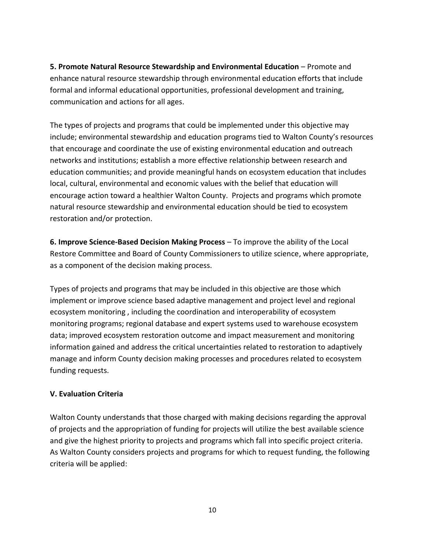**5. Promote Natural Resource Stewardship and Environmental Education** – Promote and enhance natural resource stewardship through environmental education efforts that include formal and informal educational opportunities, professional development and training, communication and actions for all ages.

The types of projects and programs that could be implemented under this objective may include; environmental stewardship and education programs tied to Walton County's resources that encourage and coordinate the use of existing environmental education and outreach networks and institutions; establish a more effective relationship between research and education communities; and provide meaningful hands on ecosystem education that includes local, cultural, environmental and economic values with the belief that education will encourage action toward a healthier Walton County. Projects and programs which promote natural resource stewardship and environmental education should be tied to ecosystem restoration and/or protection.

**6. Improve Science-Based Decision Making Process** – To improve the ability of the Local Restore Committee and Board of County Commissioners to utilize science, where appropriate, as a component of the decision making process.

Types of projects and programs that may be included in this objective are those which implement or improve science based adaptive management and project level and regional ecosystem monitoring , including the coordination and interoperability of ecosystem monitoring programs; regional database and expert systems used to warehouse ecosystem data; improved ecosystem restoration outcome and impact measurement and monitoring information gained and address the critical uncertainties related to restoration to adaptively manage and inform County decision making processes and procedures related to ecosystem funding requests.

## **V. Evaluation Criteria**

Walton County understands that those charged with making decisions regarding the approval of projects and the appropriation of funding for projects will utilize the best available science and give the highest priority to projects and programs which fall into specific project criteria. As Walton County considers projects and programs for which to request funding, the following criteria will be applied: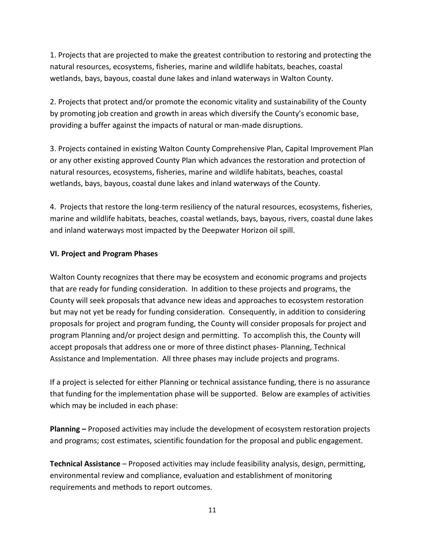1. Projects that are projected to make the greatest contribution to restoring and protecting the natural resources, ecosystems, fisheries, marine and wildlife habitats, beaches, coastal wetlands, bays, bayous, coastal dune lakes and inland waterways in Walton County.

2. Projects that protect and/or promote the economic vitality and sustainability of the County by promoting job creation and growth in areas which diversify the County's economic base, providing a buffer against the impacts of natural or man-made disruptions.

3. Projects contained in existing Walton County Comprehensive Plan, Capital Improvement Plan or any other existing approved County Plan which advances the restoration and protection of natural resources, ecosystems, fisheries, marine and wildlife habitats, beaches, coastal wetlands, bays, bayous, coastal dune lakes and inland waterways of the County.

4. Projects that restore the long-term resiliency of the natural resources, ecosystems, fisheries, marine and wildlife habitats, beaches, coastal wetlands, bays, bayous, rivers, coastal dune lakes and inland waterways most impacted by the Deepwater Horizon oil spill.

## **VI. Project and Program Phases**

Walton County recognizes that there may be ecosystem and economic programs and projects that are ready for funding consideration. In addition to these projects and programs, the County will seek proposals that advance new ideas and approaches to ecosystem restoration but may not yet be ready for funding consideration. Consequently, in addition to considering proposals for project and program funding, the County will consider proposals for project and program Planning and/or project design and permitting. To accomplish this, the County will accept proposals that address one or more of three distinct phases- Planning, Technical Assistance and Implementation. All three phases may include projects and programs.

If a project is selected for either Planning or technical assistance funding, there is no assurance that funding for the implementation phase will be supported. Below are examples of activities which may be included in each phase:

**Planning –** Proposed activities may include the development of ecosystem restoration projects and programs; cost estimates, scientific foundation for the proposal and public engagement.

**Technical Assistance** – Proposed activities may include feasibility analysis, design, permitting, environmental review and compliance, evaluation and establishment of monitoring requirements and methods to report outcomes.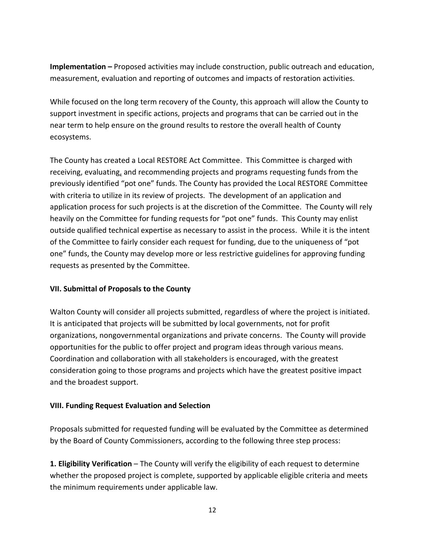**Implementation –** Proposed activities may include construction, public outreach and education, measurement, evaluation and reporting of outcomes and impacts of restoration activities.

While focused on the long term recovery of the County, this approach will allow the County to support investment in specific actions, projects and programs that can be carried out in the near term to help ensure on the ground results to restore the overall health of County ecosystems.

The County has created a Local RESTORE Act Committee. This Committee is charged with receiving, evaluating, and recommending projects and programs requesting funds from the previously identified "pot one" funds. The County has provided the Local RESTORE Committee with criteria to utilize in its review of projects. The development of an application and application process for such projects is at the discretion of the Committee. The County will rely heavily on the Committee for funding requests for "pot one" funds. This County may enlist outside qualified technical expertise as necessary to assist in the process. While it is the intent of the Committee to fairly consider each request for funding, due to the uniqueness of "pot one" funds, the County may develop more or less restrictive guidelines for approving funding requests as presented by the Committee.

## **VII. Submittal of Proposals to the County**

Walton County will consider all projects submitted, regardless of where the project is initiated. It is anticipated that projects will be submitted by local governments, not for profit organizations, nongovernmental organizations and private concerns. The County will provide opportunities for the public to offer project and program ideas through various means. Coordination and collaboration with all stakeholders is encouraged, with the greatest consideration going to those programs and projects which have the greatest positive impact and the broadest support.

## **VIII. Funding Request Evaluation and Selection**

Proposals submitted for requested funding will be evaluated by the Committee as determined by the Board of County Commissioners, according to the following three step process:

**1. Eligibility Verification** – The County will verify the eligibility of each request to determine whether the proposed project is complete, supported by applicable eligible criteria and meets the minimum requirements under applicable law.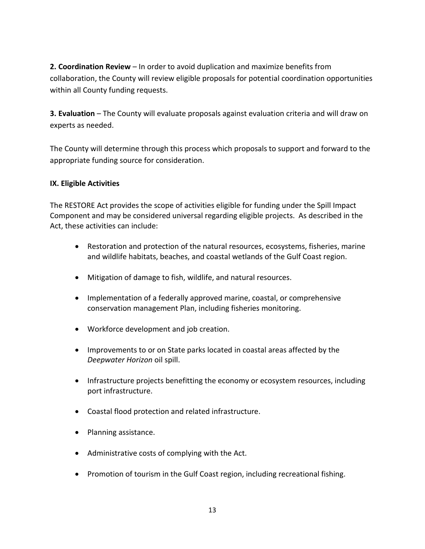**2. Coordination Review** – In order to avoid duplication and maximize benefits from collaboration, the County will review eligible proposals for potential coordination opportunities within all County funding requests.

**3. Evaluation** – The County will evaluate proposals against evaluation criteria and will draw on experts as needed.

The County will determine through this process which proposals to support and forward to the appropriate funding source for consideration.

#### **IX. Eligible Activities**

The RESTORE Act provides the scope of activities eligible for funding under the Spill Impact Component and may be considered universal regarding eligible projects. As described in the Act, these activities can include:

- Restoration and protection of the natural resources, ecosystems, fisheries, marine and wildlife habitats, beaches, and coastal wetlands of the Gulf Coast region.
- Mitigation of damage to fish, wildlife, and natural resources.
- Implementation of a federally approved marine, coastal, or comprehensive conservation management Plan, including fisheries monitoring.
- Workforce development and job creation.
- Improvements to or on State parks located in coastal areas affected by the *Deepwater Horizon* oil spill.
- Infrastructure projects benefitting the economy or ecosystem resources, including port infrastructure.
- Coastal flood protection and related infrastructure.
- Planning assistance.
- Administrative costs of complying with the Act.
- Promotion of tourism in the Gulf Coast region, including recreational fishing.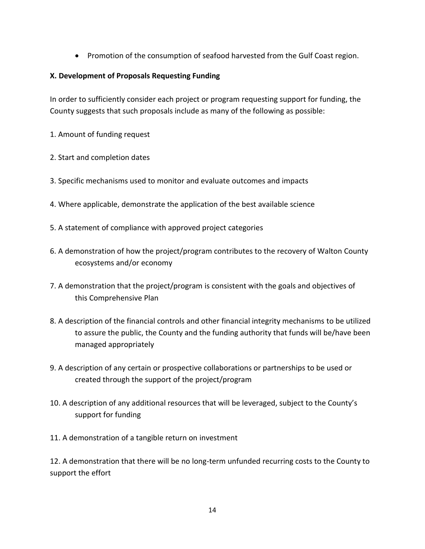• Promotion of the consumption of seafood harvested from the Gulf Coast region.

# **X. Development of Proposals Requesting Funding**

In order to sufficiently consider each project or program requesting support for funding, the County suggests that such proposals include as many of the following as possible:

- 1. Amount of funding request
- 2. Start and completion dates
- 3. Specific mechanisms used to monitor and evaluate outcomes and impacts
- 4. Where applicable, demonstrate the application of the best available science
- 5. A statement of compliance with approved project categories
- 6. A demonstration of how the project/program contributes to the recovery of Walton County ecosystems and/or economy
- 7. A demonstration that the project/program is consistent with the goals and objectives of this Comprehensive Plan
- 8. A description of the financial controls and other financial integrity mechanisms to be utilized to assure the public, the County and the funding authority that funds will be/have been managed appropriately
- 9. A description of any certain or prospective collaborations or partnerships to be used or created through the support of the project/program
- 10. A description of any additional resources that will be leveraged, subject to the County's support for funding
- 11. A demonstration of a tangible return on investment

12. A demonstration that there will be no long-term unfunded recurring costs to the County to support the effort